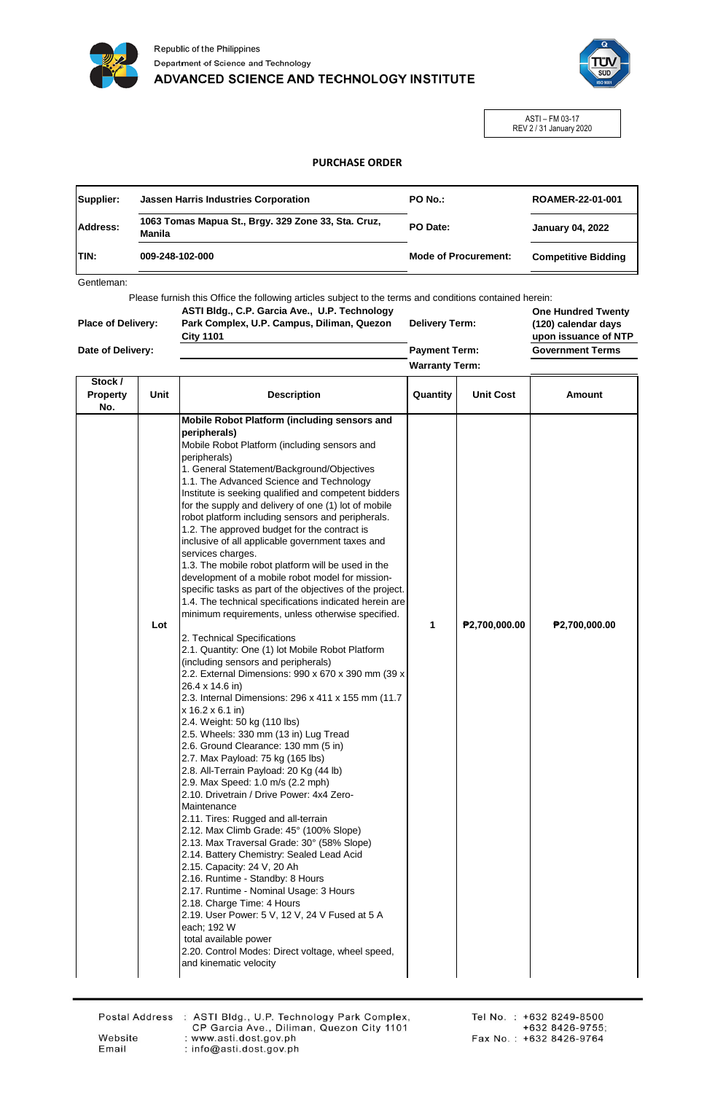



ASTI – FM 03-17 REV 2 / 31 January 2020

## **PURCHASE ORDER**

|              | <b>Jassen Harris Industries Corporation</b>                   | PO No.:                     | ROAMER-22-01-001           |  |
|--------------|---------------------------------------------------------------|-----------------------------|----------------------------|--|
| Address:     | 1063 Tomas Mapua St., Brgy. 329 Zone 33, Sta. Cruz,<br>Manila | PO Date:                    | <b>January 04, 2022</b>    |  |
| <b>ITIN:</b> | 009-248-102-000                                               | <b>Mode of Procurement:</b> | <b>Competitive Bidding</b> |  |

Gentleman:

Please furnish this Office the following articles subject to the terms and conditions contained herein: **U.P. Technology** 

|                           | ASTI Bldg., C.P. Garcia Ave., U.P. Technology |
|---------------------------|-----------------------------------------------|
| <b>Place of Delivery:</b> | Park Complex, U.P. Campus, Diliman, Quezon    |
|                           | <b>City 1101</b>                              |
| Date of Delivery:         |                                               |

**Delivery Term: Payment Term:**

**One Hundred Twenty (120) calendar days upon issuance of NTP** ms

╕

**Warranty Term:** ─ा

| <b>Government Ter</b> |  |
|-----------------------|--|
|                       |  |

| Stock /<br><b>Property</b><br>No. | Unit | <b>Description</b>                                                                                                                                                                                                                                                                                                                                                                                                                                                                                                                                                                                                                                                                                                                                                                                                                                                                                                                                                                                                                                                                                                                                                                                                                                                                                                                                                                                                                                                                                                                                                                                                                                                                                                                                                                                                                                                                         | Quantity | <b>Unit Cost</b> | <b>Amount</b> |
|-----------------------------------|------|--------------------------------------------------------------------------------------------------------------------------------------------------------------------------------------------------------------------------------------------------------------------------------------------------------------------------------------------------------------------------------------------------------------------------------------------------------------------------------------------------------------------------------------------------------------------------------------------------------------------------------------------------------------------------------------------------------------------------------------------------------------------------------------------------------------------------------------------------------------------------------------------------------------------------------------------------------------------------------------------------------------------------------------------------------------------------------------------------------------------------------------------------------------------------------------------------------------------------------------------------------------------------------------------------------------------------------------------------------------------------------------------------------------------------------------------------------------------------------------------------------------------------------------------------------------------------------------------------------------------------------------------------------------------------------------------------------------------------------------------------------------------------------------------------------------------------------------------------------------------------------------------|----------|------------------|---------------|
|                                   | Lot  | Mobile Robot Platform (including sensors and<br>peripherals)<br>Mobile Robot Platform (including sensors and<br>peripherals)<br>1. General Statement/Background/Objectives<br>1.1. The Advanced Science and Technology<br>Institute is seeking qualified and competent bidders<br>for the supply and delivery of one (1) lot of mobile<br>robot platform including sensors and peripherals.<br>1.2. The approved budget for the contract is<br>inclusive of all applicable government taxes and<br>services charges.<br>1.3. The mobile robot platform will be used in the<br>development of a mobile robot model for mission-<br>specific tasks as part of the objectives of the project.<br>1.4. The technical specifications indicated herein are<br>minimum requirements, unless otherwise specified.<br>2. Technical Specifications<br>2.1. Quantity: One (1) lot Mobile Robot Platform<br>(including sensors and peripherals)<br>2.2. External Dimensions: 990 x 670 x 390 mm (39 x<br>26.4 x 14.6 in)<br>2.3. Internal Dimensions: 296 x 411 x 155 mm (11.7)<br>x 16.2 x 6.1 in)<br>2.4. Weight: 50 kg (110 lbs)<br>2.5. Wheels: 330 mm (13 in) Lug Tread<br>2.6. Ground Clearance: 130 mm (5 in)<br>2.7. Max Payload: 75 kg (165 lbs)<br>2.8. All-Terrain Payload: 20 Kg (44 lb)<br>2.9. Max Speed: 1.0 m/s (2.2 mph)<br>2.10. Drivetrain / Drive Power: 4x4 Zero-<br>Maintenance<br>2.11. Tires: Rugged and all-terrain<br>2.12. Max Climb Grade: 45° (100% Slope)<br>2.13. Max Traversal Grade: 30° (58% Slope)<br>2.14. Battery Chemistry: Sealed Lead Acid<br>2.15. Capacity: 24 V, 20 Ah<br>2.16. Runtime - Standby: 8 Hours<br>2.17. Runtime - Nominal Usage: 3 Hours<br>2.18. Charge Time: 4 Hours<br>2.19. User Power: 5 V, 12 V, 24 V Fused at 5 A<br>each; 192 W<br>total available power<br>2.20. Control Modes: Direct voltage, wheel speed,<br>and kinematic velocity | 1        | P2,700,000.00    | P2,700,000.00 |

Website

Email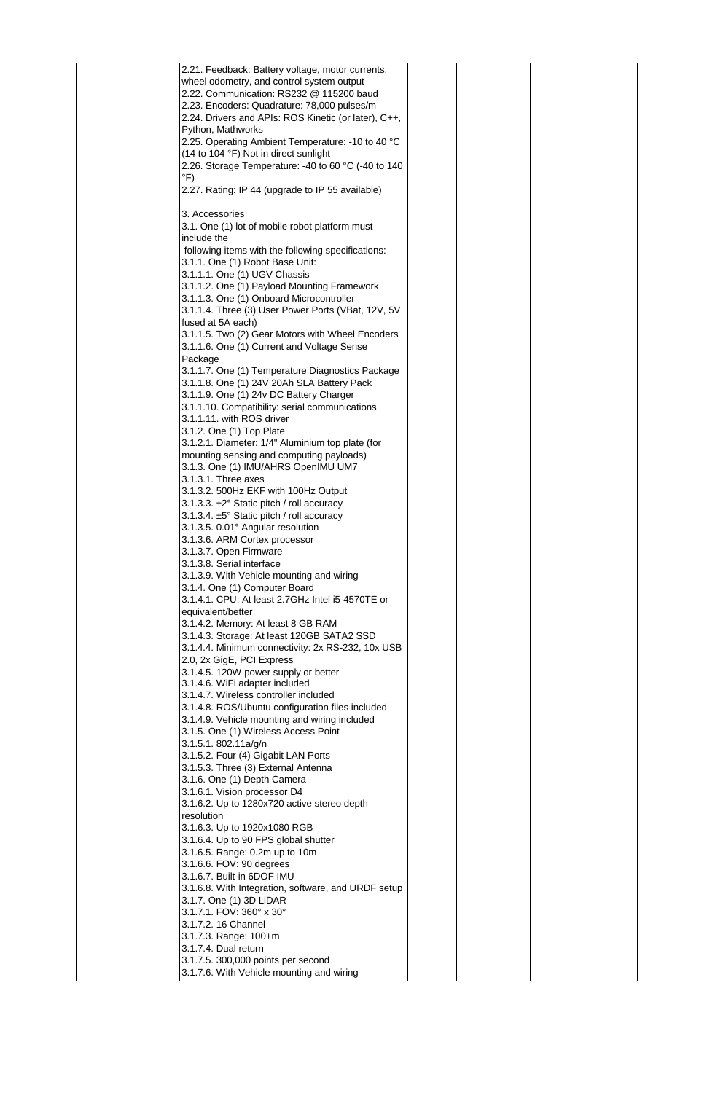2.21. Feedback: Battery voltage, motor currents, wheel odometry, and control system output 2.22. Communication: RS232 @ 115200 baud 2.23. Encoders: Quadrature: 78,000 pulses/m 2.24. Drivers and APIs: ROS Kinetic (or later), C++, Python, Mathworks 2.25. Operating Ambient Temperature: -10 to 40 °C (14 to 104 °F) Not in direct sunlight 2.26. Storage Temperature: -40 to 60 °C (-40 to 140 °F) 2.27. Rating: IP 44 (upgrade to IP 55 available) 3. Accessories 3.1. One (1) lot of mobile robot platform must include the following items with the following specifications: 3.1.1. One (1) Robot Base Unit: 3.1.1.1. One (1) UGV Chassis 3.1.1.2. One (1) Payload Mounting Framework 3.1.1.3. One (1) Onboard Microcontroller 3.1.1.4. Three (3) User Power Ports (VBat, 12V, 5V fused at 5A each) 3.1.1.5. Two (2) Gear Motors with Wheel Encoders 3.1.1.6. One (1) Current and Voltage Sense Package 3.1.1.7. One (1) Temperature Diagnostics Package 3.1.1.8. One (1) 24V 20Ah SLA Battery Pack 3.1.1.9. One (1) 24v DC Battery Charger 3.1.1.10. Compatibility: serial communications 3.1.1.11. with ROS driver 3.1.2. One (1) Top Plate 3.1.2.1. Diameter: 1/4" Aluminium top plate (for mounting sensing and computing payloads) 3.1.3. One (1) IMU/AHRS OpenIMU UM7 3.1.3.1. Three axes 3.1.3.2. 500Hz EKF with 100Hz Output 3.1.3.3. ±2° Static pitch / roll accuracy 3.1.3.4. ±5° Static pitch / roll accuracy 3.1.3.5. 0.01° Angular resolution 3.1.3.6. ARM Cortex processor 3.1.3.7. Open Firmware 3.1.3.8. Serial interface 3.1.3.9. With Vehicle mounting and wiring 3.1.4. One (1) Computer Board 3.1.4.1. CPU: At least 2.7GHz Intel i5-4570TE or equivalent/better 3.1.4.2. Memory: At least 8 GB RAM 3.1.4.3. Storage: At least 120GB SATA2 SSD 3.1.4.4. Minimum connectivity: 2x RS-232, 10x USB 2.0, 2x GigE, PCI Express 3.1.4.5. 120W power supply or better 3.1.4.6. WiFi adapter included 3.1.4.7. Wireless controller included 3.1.4.8. ROS/Ubuntu configuration files included 3.1.4.9. Vehicle mounting and wiring included 3.1.5. One (1) Wireless Access Point 3.1.5.1. 802.11a/g/n 3.1.5.2. Four (4) Gigabit LAN Ports 3.1.5.3. Three (3) External Antenna 3.1.6. One (1) Depth Camera 3.1.6.1. Vision processor D4 3.1.6.2. Up to 1280x720 active stereo depth resolution 3.1.6.3. Up to 1920x1080 RGB 3.1.6.4. Up to 90 FPS global shutter 3.1.6.5. Range: 0.2m up to 10m 3.1.6.6. FOV: 90 degrees 3.1.6.7. Built-in 6DOF IMU 3.1.6.8. With Integration, software, and URDF setup 3.1.7. One (1) 3D LiDAR 3.1.7.1. FOV: 360° x 30° 3.1.7.2. 16 Channel 3.1.7.3. Range: 100+m 3.1.7.4. Dual return 3.1.7.5. 300,000 points per second 3.1.7.6. With Vehicle mounting and wiring